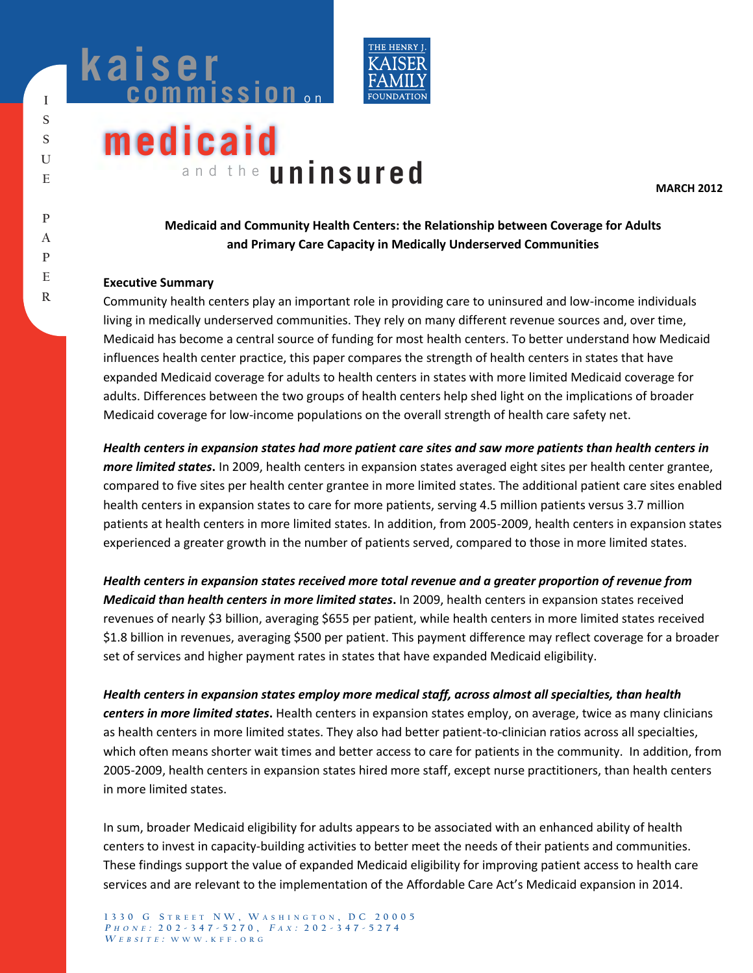



# **medicaid** and the **uninsured**

**MARCH 2012** 

# **Medicaid and Community Health Centers: the Relationship between Coverage for Adults and Primary Care Capacity in Medically Underserved Communities**

#### **Executive Summary**

Community health centers play an important role in providing care to uninsured and low-income individuals living in medically underserved communities. They rely on many different revenue sources and, over time, Medicaid has become a central source of funding for most health centers. To better understand how Medicaid influences health center practice, this paper compares the strength of health centers in states that have expanded Medicaid coverage for adults to health centers in states with more limited Medicaid coverage for adults. Differences between the two groups of health centers help shed light on the implications of broader Medicaid coverage for low-income populations on the overall strength of health care safety net.

*Health centers in expansion states had more patient care sites and saw more patients than health centers in more limited states***.** In 2009, health centers in expansion states averaged eight sites per health center grantee, compared to five sites per health center grantee in more limited states. The additional patient care sites enabled health centers in expansion states to care for more patients, serving 4.5 million patients versus 3.7 million patients at health centers in more limited states. In addition, from 2005-2009, health centers in expansion states experienced a greater growth in the number of patients served, compared to those in more limited states.

*Health centers in expansion states received more total revenue and a greater proportion of revenue from Medicaid than health centers in more limited states***.** In 2009, health centers in expansion states received revenues of nearly \$3 billion, averaging \$655 per patient, while health centers in more limited states received \$1.8 billion in revenues, averaging \$500 per patient. This payment difference may reflect coverage for a broader set of services and higher payment rates in states that have expanded Medicaid eligibility.

*Health centers in expansion states employ more medical staff, across almost all specialties, than health centers in more limited states***.** Health centers in expansion states employ, on average, twice as many clinicians as health centers in more limited states. They also had better patient-to-clinician ratios across all specialties, which often means shorter wait times and better access to care for patients in the community. In addition, from 2005-2009, health centers in expansion states hired more staff, except nurse practitioners, than health centers in more limited states.

In sum, broader Medicaid eligibility for adults appears to be associated with an enhanced ability of health centers to invest in capacity-building activities to better meet the needs of their patients and communities. These findings support the value of expanded Medicaid eligibility for improving patient access to health care services and are relevant to the implementation of the Affordable Care Act's Medicaid expansion in 2014.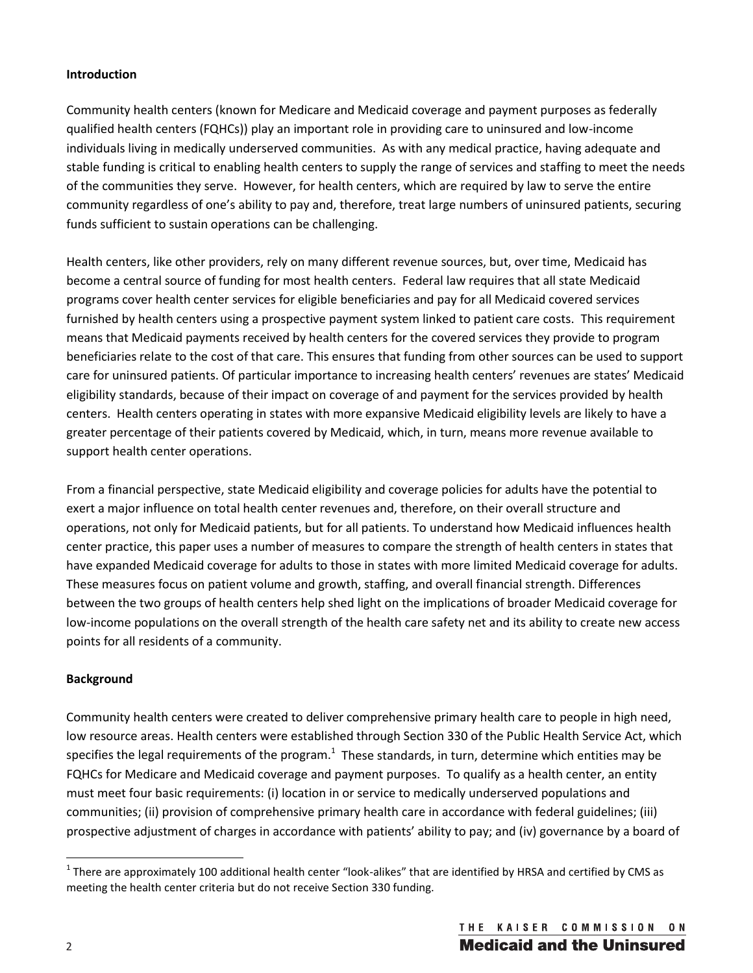## **Introduction**

Community health centers (known for Medicare and Medicaid coverage and payment purposes as federally qualified health centers (FQHCs)) play an important role in providing care to uninsured and low-income individuals living in medically underserved communities. As with any medical practice, having adequate and stable funding is critical to enabling health centers to supply the range of services and staffing to meet the needs of the communities they serve. However, for health centers, which are required by law to serve the entire community regardless of one's ability to pay and, therefore, treat large numbers of uninsured patients, securing funds sufficient to sustain operations can be challenging.

Health centers, like other providers, rely on many different revenue sources, but, over time, Medicaid has become a central source of funding for most health centers. Federal law requires that all state Medicaid programs cover health center services for eligible beneficiaries and pay for all Medicaid covered services furnished by health centers using a prospective payment system linked to patient care costs. This requirement means that Medicaid payments received by health centers for the covered services they provide to program beneficiaries relate to the cost of that care. This ensures that funding from other sources can be used to support care for uninsured patients. Of particular importance to increasing health centers' revenues are states' Medicaid eligibility standards, because of their impact on coverage of and payment for the services provided by health centers. Health centers operating in states with more expansive Medicaid eligibility levels are likely to have a greater percentage of their patients covered by Medicaid, which, in turn, means more revenue available to support health center operations.

From a financial perspective, state Medicaid eligibility and coverage policies for adults have the potential to exert a major influence on total health center revenues and, therefore, on their overall structure and operations, not only for Medicaid patients, but for all patients. To understand how Medicaid influences health center practice, this paper uses a number of measures to compare the strength of health centers in states that have expanded Medicaid coverage for adults to those in states with more limited Medicaid coverage for adults. These measures focus on patient volume and growth, staffing, and overall financial strength. Differences between the two groups of health centers help shed light on the implications of broader Medicaid coverage for low-income populations on the overall strength of the health care safety net and its ability to create new access points for all residents of a community.

#### **Background**

Community health centers were created to deliver comprehensive primary health care to people in high need, low resource areas. Health centers were established through Section 330 of the Public Health Service Act, which specifies the legal requirements of the program.<sup>1</sup> These standards, in turn, determine which entities may be FQHCs for Medicare and Medicaid coverage and payment purposes. To qualify as a health center, an entity must meet four basic requirements: (i) location in or service to medically underserved populations and communities; (ii) provision of comprehensive primary health care in accordance with federal guidelines; (iii) prospective adjustment of charges in accordance with patients' ability to pay; and (iv) governance by a board of

l

 $1$  There are approximately 100 additional health center "look-alikes" that are identified by HRSA and certified by CMS as meeting the health center criteria but do not receive Section 330 funding.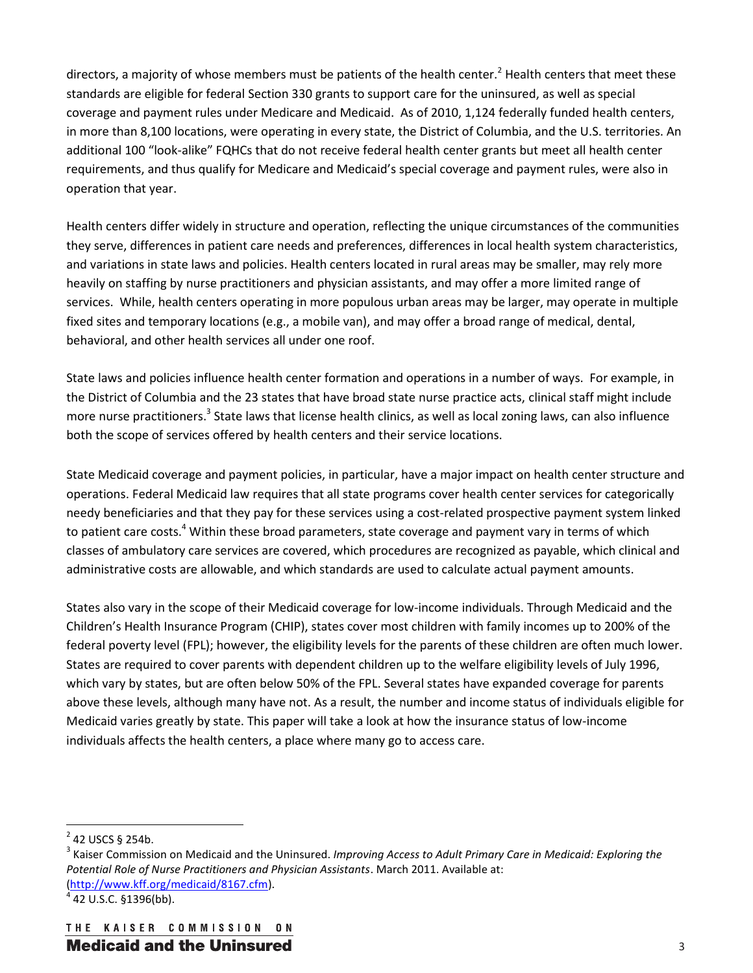directors, a majority of whose members must be patients of the health center.<sup>2</sup> Health centers that meet these standards are eligible for federal Section 330 grants to support care for the uninsured, as well as special coverage and payment rules under Medicare and Medicaid. As of 2010, 1,124 federally funded health centers, in more than 8,100 locations, were operating in every state, the District of Columbia, and the U.S. territories. An additional 100 "look-alike" FQHCs that do not receive federal health center grants but meet all health center requirements, and thus qualify for Medicare and Medicaid's special coverage and payment rules, were also in operation that year.

Health centers differ widely in structure and operation, reflecting the unique circumstances of the communities they serve, differences in patient care needs and preferences, differences in local health system characteristics, and variations in state laws and policies. Health centers located in rural areas may be smaller, may rely more heavily on staffing by nurse practitioners and physician assistants, and may offer a more limited range of services. While, health centers operating in more populous urban areas may be larger, may operate in multiple fixed sites and temporary locations (e.g., a mobile van), and may offer a broad range of medical, dental, behavioral, and other health services all under one roof.

State laws and policies influence health center formation and operations in a number of ways. For example, in the District of Columbia and the 23 states that have broad state nurse practice acts, clinical staff might include more nurse practitioners.<sup>3</sup> State laws that license health clinics, as well as local zoning laws, can also influence both the scope of services offered by health centers and their service locations.

State Medicaid coverage and payment policies, in particular, have a major impact on health center structure and operations. Federal Medicaid law requires that all state programs cover health center services for categorically needy beneficiaries and that they pay for these services using a cost-related prospective payment system linked to patient care costs.<sup>4</sup> Within these broad parameters, state coverage and payment vary in terms of which classes of ambulatory care services are covered, which procedures are recognized as payable, which clinical and administrative costs are allowable, and which standards are used to calculate actual payment amounts.

States also vary in the scope of their Medicaid coverage for low-income individuals. Through Medicaid and the Children's Health Insurance Program (CHIP), states cover most children with family incomes up to 200% of the federal poverty level (FPL); however, the eligibility levels for the parents of these children are often much lower. States are required to cover parents with dependent children up to the welfare eligibility levels of July 1996, which vary by states, but are often below 50% of the FPL. Several states have expanded coverage for parents above these levels, although many have not. As a result, the number and income status of individuals eligible for Medicaid varies greatly by state. This paper will take a look at how the insurance status of low-income individuals affects the health centers, a place where many go to access care.

l

 $^{2}$  42 USCS § 254b.

<sup>&</sup>lt;sup>3</sup> Kaiser Commission on Medicaid and the Uninsured. *Improving Access to Adult Primary Care in Medicaid: Exploring the Potential Role of Nurse Practitioners and Physician Assistants*. March 2011. Available at: (http://www.kff.org/medicaid/8167.cfm). <sup>4</sup>

 $4$  42 U.S.C. §1396(bb).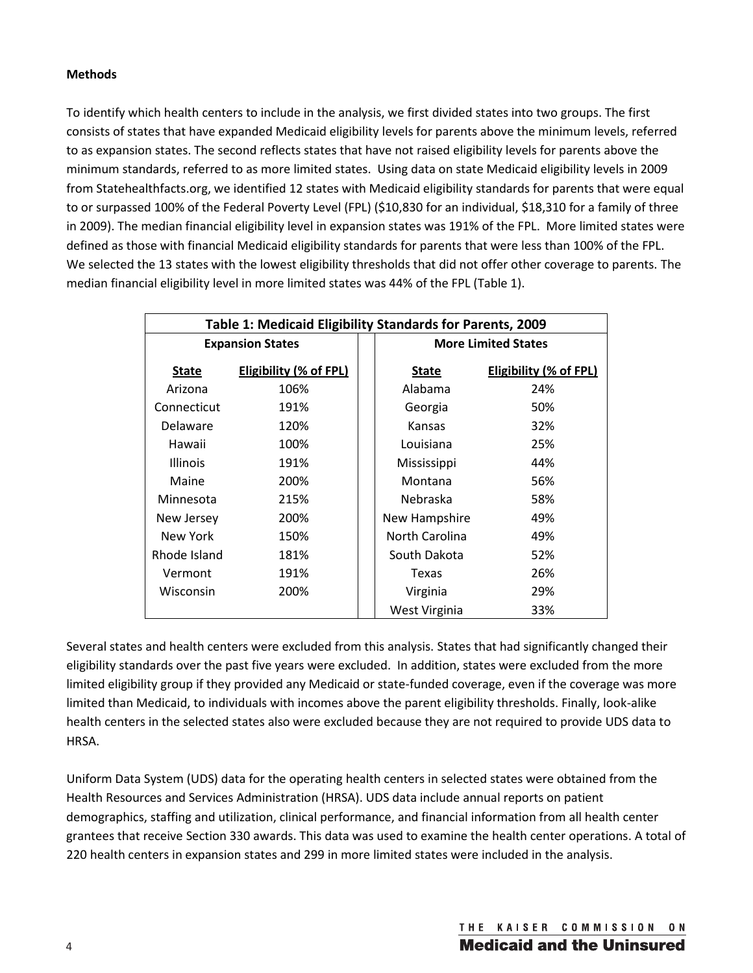## **Methods**

To identify which health centers to include in the analysis, we first divided states into two groups. The first consists of states that have expanded Medicaid eligibility levels for parents above the minimum levels, referred to as expansion states. The second reflects states that have not raised eligibility levels for parents above the minimum standards, referred to as more limited states. Using data on state Medicaid eligibility levels in 2009 from Statehealthfacts.org, we identified 12 states with Medicaid eligibility standards for parents that were equal to or surpassed 100% of the Federal Poverty Level (FPL) (\$10,830 for an individual, \$18,310 for a family of three in 2009). The median financial eligibility level in expansion states was 191% of the FPL. More limited states were defined as those with financial Medicaid eligibility standards for parents that were less than 100% of the FPL. We selected the 13 states with the lowest eligibility thresholds that did not offer other coverage to parents. The median financial eligibility level in more limited states was 44% of the FPL (Table 1).

| Table 1: Medicaid Eligibility Standards for Parents, 2009 |                               |  |                            |                               |  |
|-----------------------------------------------------------|-------------------------------|--|----------------------------|-------------------------------|--|
| <b>Expansion States</b>                                   |                               |  | <b>More Limited States</b> |                               |  |
| <b>State</b>                                              | <b>Eligibility (% of FPL)</b> |  | State                      | <b>Eligibility (% of FPL)</b> |  |
| Arizona                                                   | 106%                          |  | Alabama                    | 24%                           |  |
| Connecticut                                               | 191%                          |  | Georgia                    | 50%                           |  |
| Delaware                                                  | 120%                          |  | Kansas                     | 32%                           |  |
| Hawaii                                                    | 100%                          |  | Louisiana                  | 25%                           |  |
| <b>Illinois</b>                                           | 191%                          |  | Mississippi                | 44%                           |  |
| Maine                                                     | 200%                          |  | Montana                    | 56%                           |  |
| Minnesota                                                 | 215%                          |  | Nebraska                   | 58%                           |  |
| New Jersey                                                | 200%                          |  | New Hampshire              | 49%                           |  |
| New York                                                  | 150%                          |  | North Carolina             | 49%                           |  |
| Rhode Island                                              | 181%                          |  | South Dakota               | 52%                           |  |
| Vermont                                                   | 191%                          |  | Texas                      | 26%                           |  |
| Wisconsin                                                 | 200%                          |  | Virginia                   | 29%                           |  |
|                                                           |                               |  | West Virginia              | 33%                           |  |

Several states and health centers were excluded from this analysis. States that had significantly changed their eligibility standards over the past five years were excluded. In addition, states were excluded from the more limited eligibility group if they provided any Medicaid or state-funded coverage, even if the coverage was more limited than Medicaid, to individuals with incomes above the parent eligibility thresholds. Finally, look-alike health centers in the selected states also were excluded because they are not required to provide UDS data to HRSA.

Uniform Data System (UDS) data for the operating health centers in selected states were obtained from the Health Resources and Services Administration (HRSA). UDS data include annual reports on patient demographics, staffing and utilization, clinical performance, and financial information from all health center grantees that receive Section 330 awards. This data was used to examine the health center operations. A total of 220 health centers in expansion states and 299 in more limited states were included in the analysis.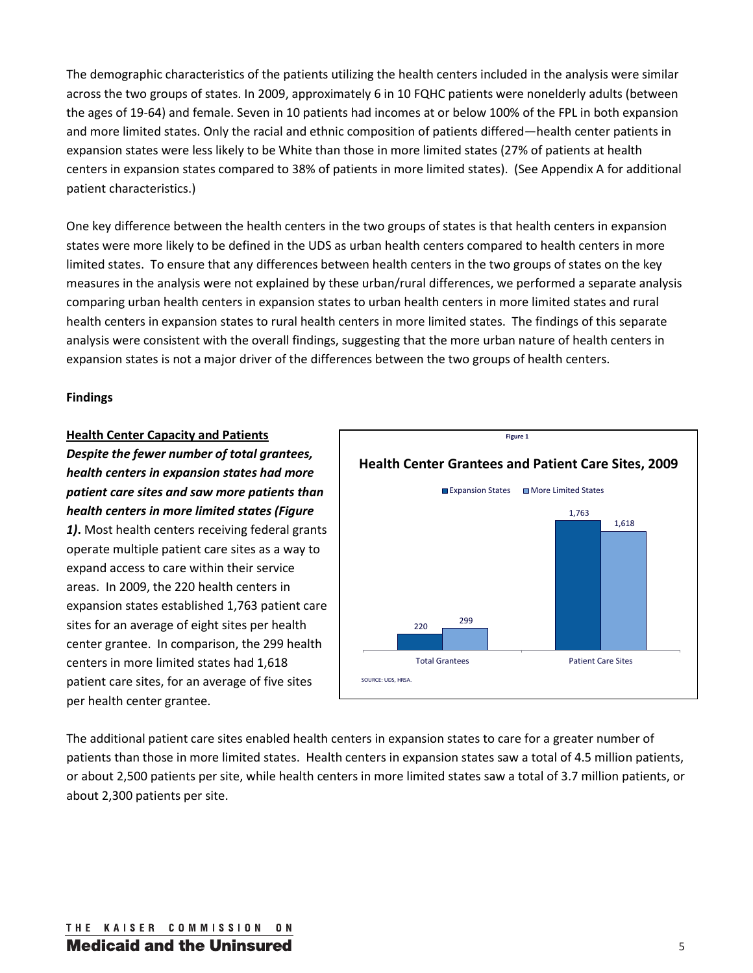The demographic characteristics of the patients utilizing the health centers included in the analysis were similar across the two groups of states. In 2009, approximately 6 in 10 FQHC patients were nonelderly adults (between the ages of 19-64) and female. Seven in 10 patients had incomes at or below 100% of the FPL in both expansion and more limited states. Only the racial and ethnic composition of patients differed—health center patients in expansion states were less likely to be White than those in more limited states (27% of patients at health centers in expansion states compared to 38% of patients in more limited states). (See Appendix A for additional patient characteristics.)

One key difference between the health centers in the two groups of states is that health centers in expansion states were more likely to be defined in the UDS as urban health centers compared to health centers in more limited states. To ensure that any differences between health centers in the two groups of states on the key measures in the analysis were not explained by these urban/rural differences, we performed a separate analysis comparing urban health centers in expansion states to urban health centers in more limited states and rural health centers in expansion states to rural health centers in more limited states. The findings of this separate analysis were consistent with the overall findings, suggesting that the more urban nature of health centers in expansion states is not a major driver of the differences between the two groups of health centers.

#### **Findings**

## **Health Center Capacity and Patients**

*Despite the fewer number of total grantees, health centers in expansion states had more patient care sites and saw more patients than health centers in more limited states (Figure* 

*1)***.** Most health centers receiving federal grants operate multiple patient care sites as a way to expand access to care within their service areas. In 2009, the 220 health centers in expansion states established 1,763 patient care sites for an average of eight sites per health center grantee. In comparison, the 299 health centers in more limited states had 1,618 patient care sites, for an average of five sites per health center grantee.



The additional patient care sites enabled health centers in expansion states to care for a greater number of patients than those in more limited states. Health centers in expansion states saw a total of 4.5 million patients, or about 2,500 patients per site, while health centers in more limited states saw a total of 3.7 million patients, or about 2,300 patients per site.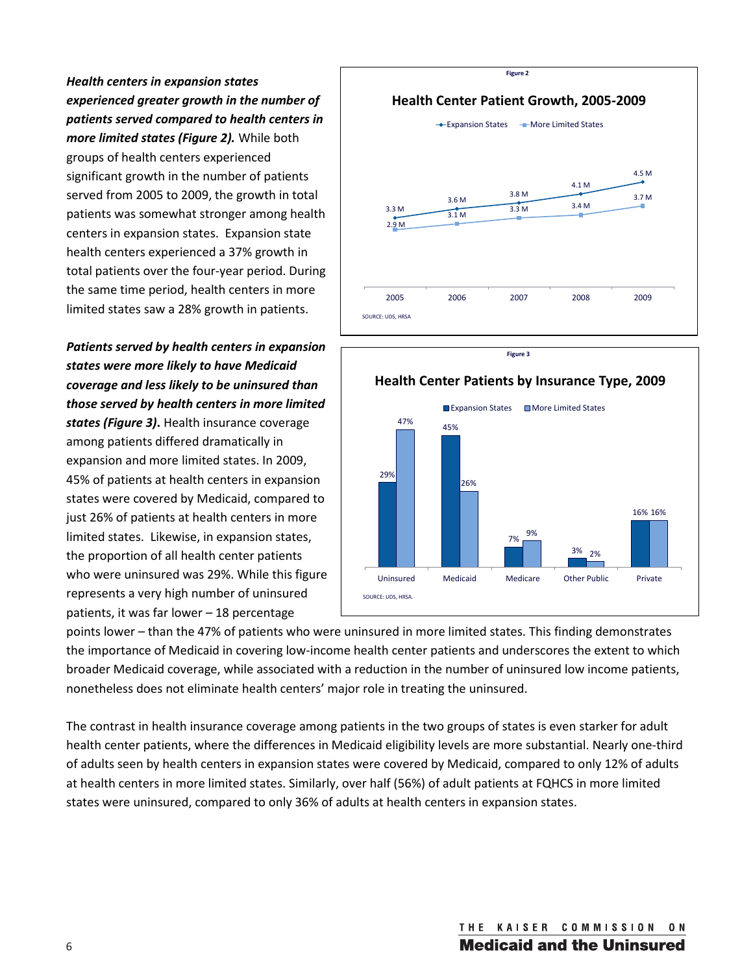*Health centers in expansion states experienced greater growth in the number of patients served compared to health centers in more limited states (Figure 2).* While both groups of health centers experienced significant growth in the number of patients served from 2005 to 2009, the growth in total patients was somewhat stronger among health centers in expansion states. Expansion state health centers experienced a 37% growth in total patients over the four-year period. During the same time period, health centers in more limited states saw a 28% growth in patients.

*Patients served by health centers in expansion states were more likely to have Medicaid coverage and less likely to be uninsured than those served by health centers in more limited* 

*states (Figure 3)***.** Health insurance coverage among patients differed dramatically in expansion and more limited states. In 2009, 45% of patients at health centers in expansion states were covered by Medicaid, compared to just 26% of patients at health centers in more limited states. Likewise, in expansion states, the proportion of all health center patients who were uninsured was 29%. While this figure represents a very high number of uninsured patients, it was far lower – 18 percentage



**Figure 3**



points lower – than the 47% of patients who were uninsured in more limited states. This finding demonstrates the importance of Medicaid in covering low-income health center patients and underscores the extent to which broader Medicaid coverage, while associated with a reduction in the number of uninsured low income patients, nonetheless does not eliminate health centers' major role in treating the uninsured.

The contrast in health insurance coverage among patients in the two groups of states is even starker for adult health center patients, where the differences in Medicaid eligibility levels are more substantial. Nearly one-third of adults seen by health centers in expansion states were covered by Medicaid, compared to only 12% of adults at health centers in more limited states. Similarly, over half (56%) of adult patients at FQHCS in more limited states were uninsured, compared to only 36% of adults at health centers in expansion states.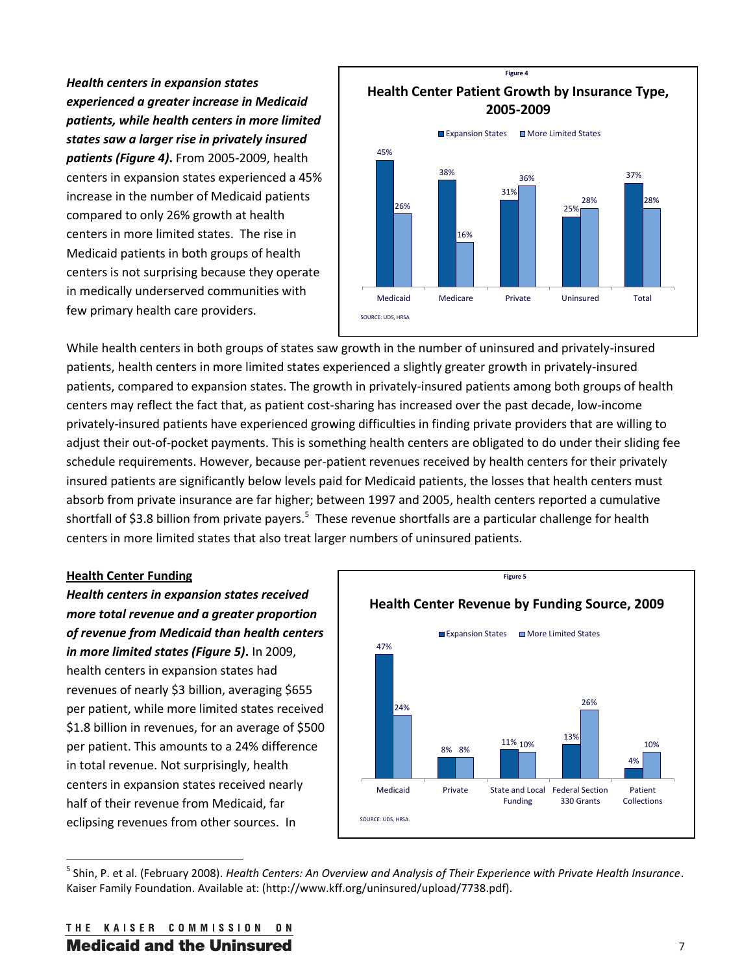*Health centers in expansion states experienced a greater increase in Medicaid patients, while health centers in more limited states saw a larger rise in privately insured patients (Figure 4)***.** From 2005-2009, health centers in expansion states experienced a 45% increase in the number of Medicaid patients compared to only 26% growth at health centers in more limited states. The rise in Medicaid patients in both groups of health centers is not surprising because they operate in medically underserved communities with few primary health care providers.



While health centers in both groups of states saw growth in the number of uninsured and privately-insured patients, health centers in more limited states experienced a slightly greater growth in privately-insured patients, compared to expansion states. The growth in privately-insured patients among both groups of health centers may reflect the fact that, as patient cost-sharing has increased over the past decade, low-income privately-insured patients have experienced growing difficulties in finding private providers that are willing to adjust their out-of-pocket payments. This is something health centers are obligated to do under their sliding fee schedule requirements. However, because per-patient revenues received by health centers for their privately insured patients are significantly below levels paid for Medicaid patients, the losses that health centers must absorb from private insurance are far higher; between 1997 and 2005, health centers reported a cumulative shortfall of \$3.8 billion from private payers.<sup>5</sup> These revenue shortfalls are a particular challenge for health centers in more limited states that also treat larger numbers of uninsured patients.

#### **Health Center Funding**

l

*Health centers in expansion states received more total revenue and a greater proportion of revenue from Medicaid than health centers in more limited states (Figure 5)***.** In 2009, health centers in expansion states had revenues of nearly \$3 billion, averaging \$655 per patient, while more limited states received \$1.8 billion in revenues, for an average of \$500 per patient. This amounts to a 24% difference in total revenue. Not surprisingly, health centers in expansion states received nearly half of their revenue from Medicaid, far eclipsing revenues from other sources. In



<sup>5</sup> Shin, P. et al. (February 2008). *Health Centers: An Overview and Analysis of Their Experience with Private Health Insurance*. Kaiser Family Foundation. Available at: (http://www.kff.org/uninsured/upload/7738.pdf).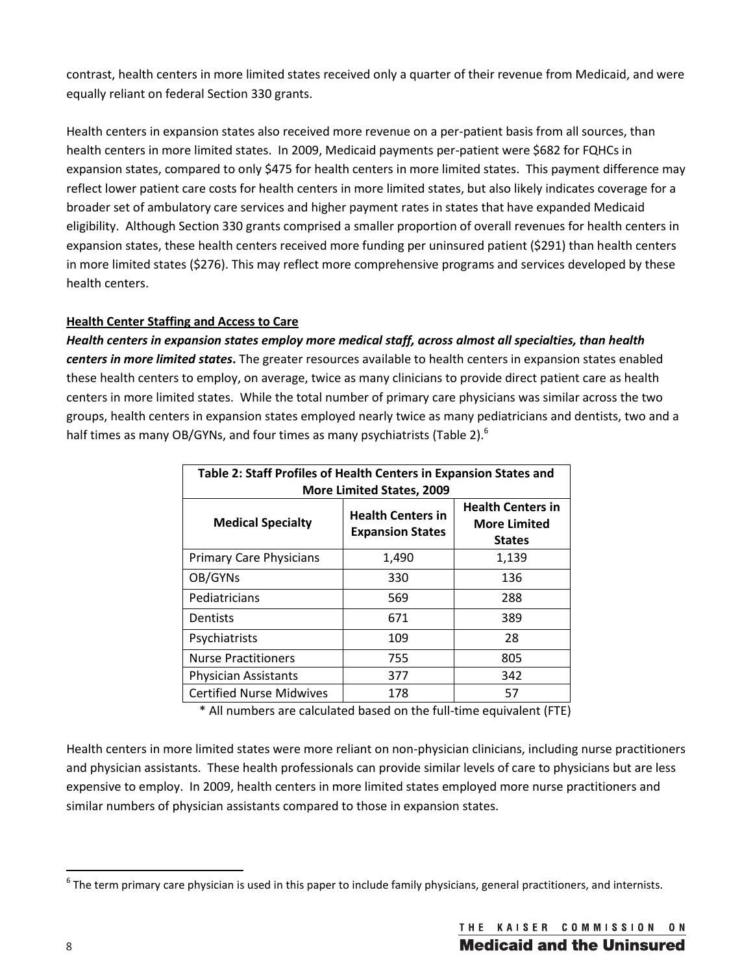contrast, health centers in more limited states received only a quarter of their revenue from Medicaid, and were equally reliant on federal Section 330 grants.

Health centers in expansion states also received more revenue on a per-patient basis from all sources, than health centers in more limited states. In 2009, Medicaid payments per-patient were \$682 for FQHCs in expansion states, compared to only \$475 for health centers in more limited states. This payment difference may reflect lower patient care costs for health centers in more limited states, but also likely indicates coverage for a broader set of ambulatory care services and higher payment rates in states that have expanded Medicaid eligibility. Although Section 330 grants comprised a smaller proportion of overall revenues for health centers in expansion states, these health centers received more funding per uninsured patient (\$291) than health centers in more limited states (\$276). This may reflect more comprehensive programs and services developed by these health centers.

# **Health Center Staffing and Access to Care**

*Health centers in expansion states employ more medical staff, across almost all specialties, than health centers in more limited states***.** The greater resources available to health centers in expansion states enabled these health centers to employ, on average, twice as many clinicians to provide direct patient care as health centers in more limited states. While the total number of primary care physicians was similar across the two groups, health centers in expansion states employed nearly twice as many pediatricians and dentists, two and a half times as many OB/GYNs, and four times as many psychiatrists (Table 2).<sup>6</sup>

| Table 2: Staff Profiles of Health Centers in Expansion States and<br><b>More Limited States, 2009</b> |                                                     |                                                                  |  |  |  |
|-------------------------------------------------------------------------------------------------------|-----------------------------------------------------|------------------------------------------------------------------|--|--|--|
| <b>Medical Specialty</b>                                                                              | <b>Health Centers in</b><br><b>Expansion States</b> | <b>Health Centers in</b><br><b>More Limited</b><br><b>States</b> |  |  |  |
| <b>Primary Care Physicians</b>                                                                        | 1,490                                               | 1,139                                                            |  |  |  |
| OB/GYNs                                                                                               | 330                                                 | 136                                                              |  |  |  |
| Pediatricians                                                                                         | 569                                                 | 288                                                              |  |  |  |
| Dentists                                                                                              | 671                                                 | 389                                                              |  |  |  |
| Psychiatrists                                                                                         | 109                                                 | 28                                                               |  |  |  |
| <b>Nurse Practitioners</b>                                                                            | 755                                                 | 805                                                              |  |  |  |
| <b>Physician Assistants</b>                                                                           | 377                                                 | 342                                                              |  |  |  |
| <b>Certified Nurse Midwives</b>                                                                       | 178                                                 | 57                                                               |  |  |  |

\* All numbers are calculated based on the full-time equivalent (FTE)

Health centers in more limited states were more reliant on non-physician clinicians, including nurse practitioners and physician assistants. These health professionals can provide similar levels of care to physicians but are less expensive to employ. In 2009, health centers in more limited states employed more nurse practitioners and similar numbers of physician assistants compared to those in expansion states.

l

 $^6$  The term primary care physician is used in this paper to include family physicians, general practitioners, and internists.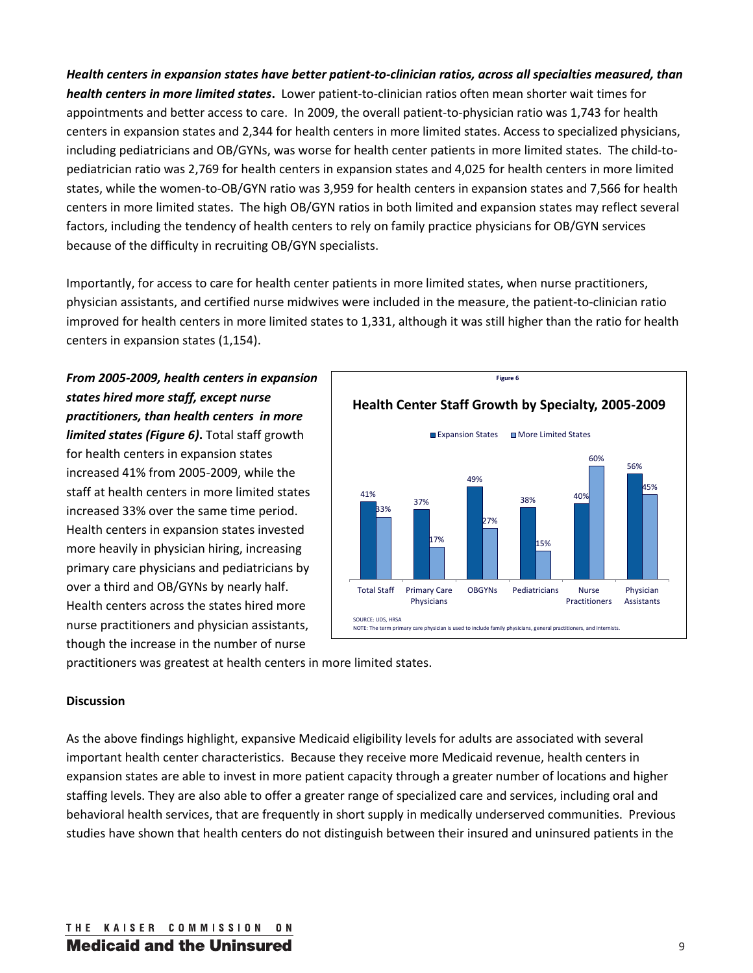*Health centers in expansion states have better patient-to-clinician ratios, across all specialties measured, than health centers in more limited states***.** Lower patient-to-clinician ratios often mean shorter wait times for appointments and better access to care. In 2009, the overall patient-to-physician ratio was 1,743 for health centers in expansion states and 2,344 for health centers in more limited states. Access to specialized physicians, including pediatricians and OB/GYNs, was worse for health center patients in more limited states. The child-topediatrician ratio was 2,769 for health centers in expansion states and 4,025 for health centers in more limited states, while the women-to-OB/GYN ratio was 3,959 for health centers in expansion states and 7,566 for health centers in more limited states. The high OB/GYN ratios in both limited and expansion states may reflect several factors, including the tendency of health centers to rely on family practice physicians for OB/GYN services because of the difficulty in recruiting OB/GYN specialists.

Importantly, for access to care for health center patients in more limited states, when nurse practitioners, physician assistants, and certified nurse midwives were included in the measure, the patient-to-clinician ratio improved for health centers in more limited states to 1,331, although it was still higher than the ratio for health centers in expansion states (1,154).

*From 2005-2009, health centers in expansion states hired more staff, except nurse practitioners, than health centers in more limited states (Figure 6)***.** Total staff growth for health centers in expansion states increased 41% from 2005-2009, while the staff at health centers in more limited states increased 33% over the same time period. Health centers in expansion states invested more heavily in physician hiring, increasing primary care physicians and pediatricians by over a third and OB/GYNs by nearly half. Health centers across the states hired more nurse practitioners and physician assistants, though the increase in the number of nurse



practitioners was greatest at health centers in more limited states.

#### **Discussion**

As the above findings highlight, expansive Medicaid eligibility levels for adults are associated with several important health center characteristics. Because they receive more Medicaid revenue, health centers in expansion states are able to invest in more patient capacity through a greater number of locations and higher staffing levels. They are also able to offer a greater range of specialized care and services, including oral and behavioral health services, that are frequently in short supply in medically underserved communities. Previous studies have shown that health centers do not distinguish between their insured and uninsured patients in the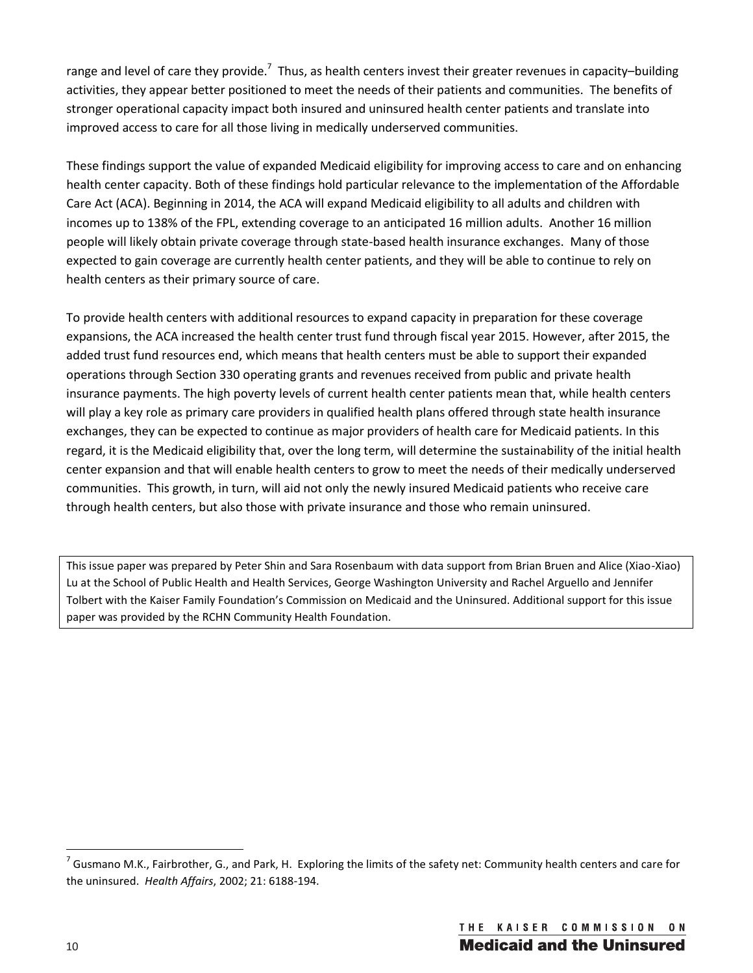range and level of care they provide.<sup>7</sup> Thus, as health centers invest their greater revenues in capacity–building activities, they appear better positioned to meet the needs of their patients and communities. The benefits of stronger operational capacity impact both insured and uninsured health center patients and translate into improved access to care for all those living in medically underserved communities.

These findings support the value of expanded Medicaid eligibility for improving access to care and on enhancing health center capacity. Both of these findings hold particular relevance to the implementation of the Affordable Care Act (ACA). Beginning in 2014, the ACA will expand Medicaid eligibility to all adults and children with incomes up to 138% of the FPL, extending coverage to an anticipated 16 million adults. Another 16 million people will likely obtain private coverage through state-based health insurance exchanges. Many of those expected to gain coverage are currently health center patients, and they will be able to continue to rely on health centers as their primary source of care.

To provide health centers with additional resources to expand capacity in preparation for these coverage expansions, the ACA increased the health center trust fund through fiscal year 2015. However, after 2015, the added trust fund resources end, which means that health centers must be able to support their expanded operations through Section 330 operating grants and revenues received from public and private health insurance payments. The high poverty levels of current health center patients mean that, while health centers will play a key role as primary care providers in qualified health plans offered through state health insurance exchanges, they can be expected to continue as major providers of health care for Medicaid patients. In this regard, it is the Medicaid eligibility that, over the long term, will determine the sustainability of the initial health center expansion and that will enable health centers to grow to meet the needs of their medically underserved communities. This growth, in turn, will aid not only the newly insured Medicaid patients who receive care through health centers, but also those with private insurance and those who remain uninsured.

This issue paper was prepared by Peter Shin and Sara Rosenbaum with data support from Brian Bruen and Alice (Xiao-Xiao) Lu at the School of Public Health and Health Services, George Washington University and Rachel Arguello and Jennifer Tolbert with the Kaiser Family Foundation's Commission on Medicaid and the Uninsured. Additional support for this issue paper was provided by the RCHN Community Health Foundation.

 $\overline{\phantom{a}}$ 

 $^7$  Gusmano M.K., Fairbrother, G., and Park, H. Exploring the limits of the safety net: Community health centers and care for the uninsured. *Health Affairs*, 2002; 21: 6188-194.